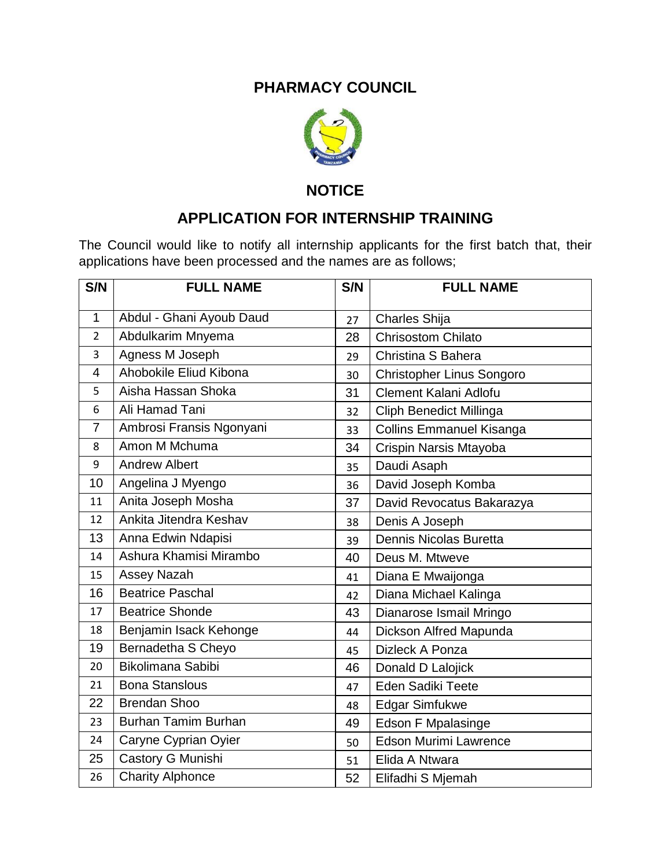## **PHARMACY COUNCIL**



**NOTICE**

## **APPLICATION FOR INTERNSHIP TRAINING**

The Council would like to notify all internship applicants for the first batch that, their applications have been processed and the names are as follows;

| S/N            | <b>FULL NAME</b>         | S/N | <b>FULL NAME</b>                 |
|----------------|--------------------------|-----|----------------------------------|
| 1              | Abdul - Ghani Ayoub Daud | 27  | Charles Shija                    |
| $\overline{2}$ | Abdulkarim Mnyema        | 28  | <b>Chrisostom Chilato</b>        |
| 3              | Agness M Joseph          | 29  | Christina S Bahera               |
| 4              | Ahobokile Eliud Kibona   | 30  | <b>Christopher Linus Songoro</b> |
| 5              | Aisha Hassan Shoka       | 31  | Clement Kalani Adlofu            |
| 6              | Ali Hamad Tani           | 32  | <b>Cliph Benedict Millinga</b>   |
| $\overline{7}$ | Ambrosi Fransis Ngonyani | 33  | <b>Collins Emmanuel Kisanga</b>  |
| 8              | Amon M Mchuma            | 34  | Crispin Narsis Mtayoba           |
| 9              | <b>Andrew Albert</b>     | 35  | Daudi Asaph                      |
| 10             | Angelina J Myengo        | 36  | David Joseph Komba               |
| 11             | Anita Joseph Mosha       | 37  | David Revocatus Bakarazya        |
| 12             | Ankita Jitendra Keshav   | 38  | Denis A Joseph                   |
| 13             | Anna Edwin Ndapisi       | 39  | Dennis Nicolas Buretta           |
| 14             | Ashura Khamisi Mirambo   | 40  | Deus M. Mtweve                   |
| 15             | Assey Nazah              | 41  | Diana E Mwaijonga                |
| 16             | <b>Beatrice Paschal</b>  | 42  | Diana Michael Kalinga            |
| 17             | <b>Beatrice Shonde</b>   | 43  | Dianarose Ismail Mringo          |
| 18             | Benjamin Isack Kehonge   | 44  | Dickson Alfred Mapunda           |
| 19             | Bernadetha S Cheyo       | 45  | Dizleck A Ponza                  |
| 20             | Bikolimana Sabibi        | 46  | Donald D Lalojick                |
| 21             | <b>Bona Stanslous</b>    | 47  | Eden Sadiki Teete                |
| 22             | <b>Brendan Shoo</b>      | 48  | <b>Edgar Simfukwe</b>            |
| 23             | Burhan Tamim Burhan      | 49  | <b>Edson F Mpalasinge</b>        |
| 24             | Caryne Cyprian Oyier     | 50  | Edson Murimi Lawrence            |
| 25             | Castory G Munishi        | 51  | Elida A Ntwara                   |
| 26             | <b>Charity Alphonce</b>  | 52  | Elifadhi S Mjemah                |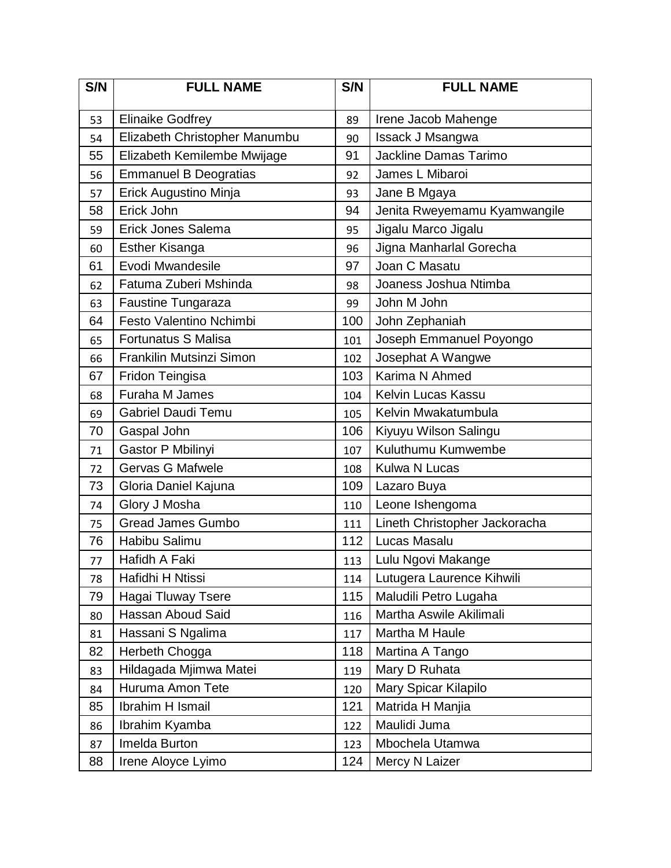| S/N | <b>FULL NAME</b>              | S/N | <b>FULL NAME</b>              |
|-----|-------------------------------|-----|-------------------------------|
| 53  | <b>Elinaike Godfrey</b>       | 89  | Irene Jacob Mahenge           |
| 54  | Elizabeth Christopher Manumbu | 90  | Issack J Msangwa              |
| 55  | Elizabeth Kemilembe Mwijage   | 91  | <b>Jackline Damas Tarimo</b>  |
| 56  | <b>Emmanuel B Deogratias</b>  | 92  | James L Mibaroi               |
| 57  | Erick Augustino Minja         | 93  | Jane B Mgaya                  |
| 58  | Erick John                    | 94  | Jenita Rweyemamu Kyamwangile  |
| 59  | Erick Jones Salema            | 95  | Jigalu Marco Jigalu           |
| 60  | <b>Esther Kisanga</b>         | 96  | Jigna Manharlal Gorecha       |
| 61  | Evodi Mwandesile              | 97  | Joan C Masatu                 |
| 62  | Fatuma Zuberi Mshinda         | 98  | Joaness Joshua Ntimba         |
| 63  | <b>Faustine Tungaraza</b>     | 99  | John M John                   |
| 64  | Festo Valentino Nchimbi       | 100 | John Zephaniah                |
| 65  | <b>Fortunatus S Malisa</b>    | 101 | Joseph Emmanuel Poyongo       |
| 66  | Frankilin Mutsinzi Simon      | 102 | Josephat A Wangwe             |
| 67  | Fridon Teingisa               | 103 | Karima N Ahmed                |
| 68  | <b>Furaha M James</b>         | 104 | <b>Kelvin Lucas Kassu</b>     |
| 69  | <b>Gabriel Daudi Temu</b>     | 105 | Kelvin Mwakatumbula           |
| 70  | Gaspal John                   | 106 | Kiyuyu Wilson Salingu         |
| 71  | Gastor P Mbilinyi             | 107 | Kuluthumu Kumwembe            |
| 72  | <b>Gervas G Mafwele</b>       | 108 | Kulwa N Lucas                 |
| 73  | Gloria Daniel Kajuna          | 109 | Lazaro Buya                   |
| 74  | Glory J Mosha                 | 110 | Leone Ishengoma               |
| 75  | <b>Gread James Gumbo</b>      | 111 | Lineth Christopher Jackoracha |
| 76  | Habibu Salimu                 | 112 | Lucas Masalu                  |
| 77  | Hafidh A Faki                 | 113 | Lulu Ngovi Makange            |
| 78  | Hafidhi H Ntissi              | 114 | Lutugera Laurence Kihwili     |
| 79  | Hagai Tluway Tsere            | 115 | Maludili Petro Lugaha         |
| 80  | Hassan Aboud Said             | 116 | Martha Aswile Akilimali       |
| 81  | Hassani S Ngalima             | 117 | Martha M Haule                |
| 82  | Herbeth Chogga                | 118 | Martina A Tango               |
| 83  | Hildagada Mjimwa Matei        | 119 | Mary D Ruhata                 |
| 84  | Huruma Amon Tete              | 120 | Mary Spicar Kilapilo          |
| 85  | Ibrahim H Ismail              | 121 | Matrida H Manjia              |
| 86  | Ibrahim Kyamba                | 122 | Maulidi Juma                  |
| 87  | Imelda Burton                 | 123 | Mbochela Utamwa               |
| 88  | Irene Aloyce Lyimo            | 124 | Mercy N Laizer                |